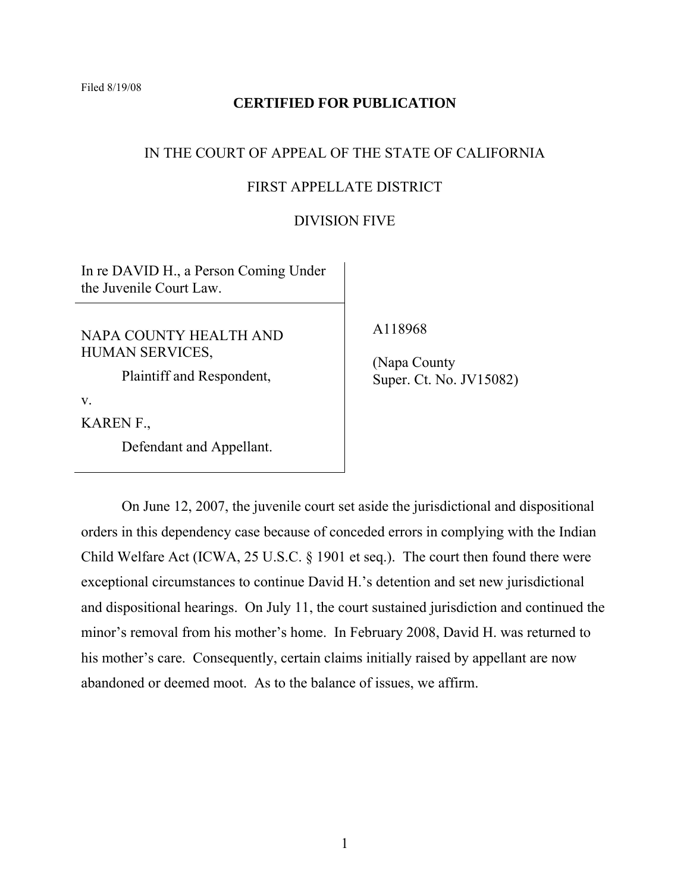Filed 8/19/08

# **CERTIFIED FOR PUBLICATION**

## IN THE COURT OF APPEAL OF THE STATE OF CALIFORNIA

# FIRST APPELLATE DISTRICT

### DIVISION FIVE

In re DAVID H., a Person Coming Under the Juvenile Court Law.

NAPA COUNTY HEALTH AND HUMAN SERVICES,

Plaintiff and Respondent,

v.

KAREN F.,

Defendant and Appellant.

A118968

 (Napa County Super. Ct. No. JV15082)

 On June 12, 2007, the juvenile court set aside the jurisdictional and dispositional orders in this dependency case because of conceded errors in complying with the Indian Child Welfare Act (ICWA, 25 U.S.C. § 1901 et seq.). The court then found there were exceptional circumstances to continue David H.'s detention and set new jurisdictional and dispositional hearings. On July 11, the court sustained jurisdiction and continued the minor's removal from his mother's home. In February 2008, David H. was returned to his mother's care. Consequently, certain claims initially raised by appellant are now abandoned or deemed moot. As to the balance of issues, we affirm.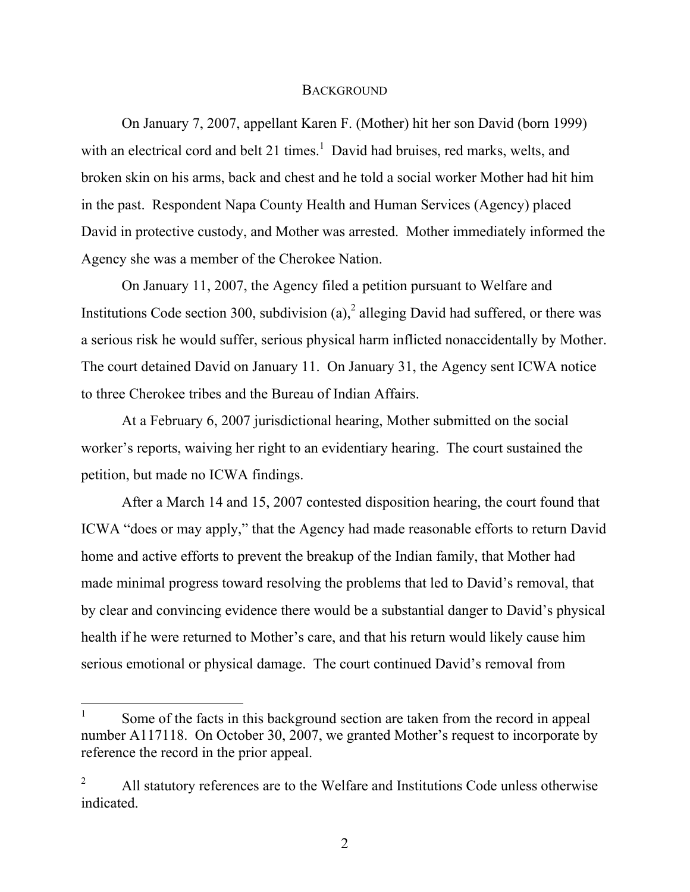### **BACKGROUND**

 On January 7, 2007, appellant Karen F. (Mother) hit her son David (born 1999) with an electrical cord and belt 21 times.<sup>1</sup> David had bruises, red marks, welts, and broken skin on his arms, back and chest and he told a social worker Mother had hit him in the past. Respondent Napa County Health and Human Services (Agency) placed David in protective custody, and Mother was arrested. Mother immediately informed the Agency she was a member of the Cherokee Nation.

 On January 11, 2007, the Agency filed a petition pursuant to Welfare and Institutions Code section 300, subdivision (a),<sup>2</sup> alleging David had suffered, or there was a serious risk he would suffer, serious physical harm inflicted nonaccidentally by Mother. The court detained David on January 11. On January 31, the Agency sent ICWA notice to three Cherokee tribes and the Bureau of Indian Affairs.

 At a February 6, 2007 jurisdictional hearing, Mother submitted on the social worker's reports, waiving her right to an evidentiary hearing. The court sustained the petition, but made no ICWA findings.

 After a March 14 and 15, 2007 contested disposition hearing, the court found that ICWA "does or may apply," that the Agency had made reasonable efforts to return David home and active efforts to prevent the breakup of the Indian family, that Mother had made minimal progress toward resolving the problems that led to David's removal, that by clear and convincing evidence there would be a substantial danger to David's physical health if he were returned to Mother's care, and that his return would likely cause him serious emotional or physical damage. The court continued David's removal from

 $\overline{a}$ 

<sup>1</sup> Some of the facts in this background section are taken from the record in appeal number A117118. On October 30, 2007, we granted Mother's request to incorporate by reference the record in the prior appeal.

<sup>2</sup> All statutory references are to the Welfare and Institutions Code unless otherwise indicated.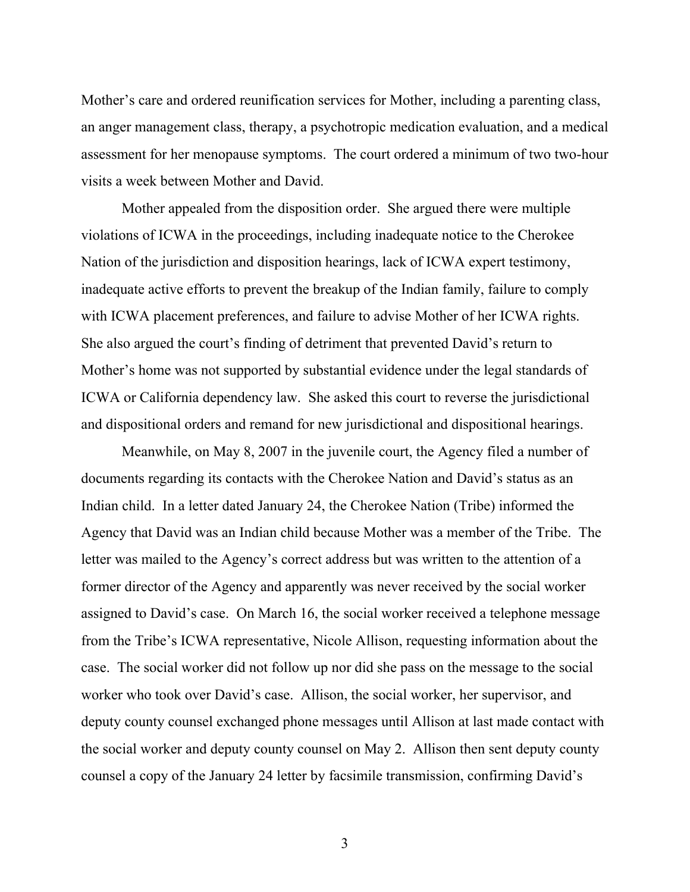Mother's care and ordered reunification services for Mother, including a parenting class, an anger management class, therapy, a psychotropic medication evaluation, and a medical assessment for her menopause symptoms. The court ordered a minimum of two two-hour visits a week between Mother and David.

 Mother appealed from the disposition order. She argued there were multiple violations of ICWA in the proceedings, including inadequate notice to the Cherokee Nation of the jurisdiction and disposition hearings, lack of ICWA expert testimony, inadequate active efforts to prevent the breakup of the Indian family, failure to comply with ICWA placement preferences, and failure to advise Mother of her ICWA rights. She also argued the court's finding of detriment that prevented David's return to Mother's home was not supported by substantial evidence under the legal standards of ICWA or California dependency law. She asked this court to reverse the jurisdictional and dispositional orders and remand for new jurisdictional and dispositional hearings.

 Meanwhile, on May 8, 2007 in the juvenile court, the Agency filed a number of documents regarding its contacts with the Cherokee Nation and David's status as an Indian child. In a letter dated January 24, the Cherokee Nation (Tribe) informed the Agency that David was an Indian child because Mother was a member of the Tribe. The letter was mailed to the Agency's correct address but was written to the attention of a former director of the Agency and apparently was never received by the social worker assigned to David's case. On March 16, the social worker received a telephone message from the Tribe's ICWA representative, Nicole Allison, requesting information about the case. The social worker did not follow up nor did she pass on the message to the social worker who took over David's case. Allison, the social worker, her supervisor, and deputy county counsel exchanged phone messages until Allison at last made contact with the social worker and deputy county counsel on May 2. Allison then sent deputy county counsel a copy of the January 24 letter by facsimile transmission, confirming David's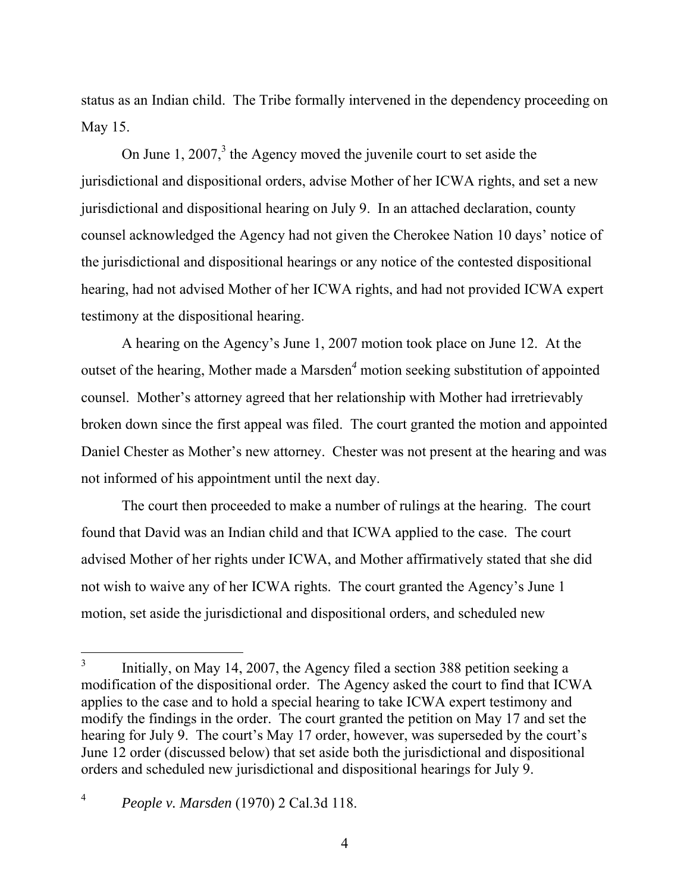status as an Indian child. The Tribe formally intervened in the dependency proceeding on May 15.

On June 1,  $2007<sup>3</sup>$ , the Agency moved the juvenile court to set aside the jurisdictional and dispositional orders, advise Mother of her ICWA rights, and set a new jurisdictional and dispositional hearing on July 9. In an attached declaration, county counsel acknowledged the Agency had not given the Cherokee Nation 10 days' notice of the jurisdictional and dispositional hearings or any notice of the contested dispositional hearing, had not advised Mother of her ICWA rights, and had not provided ICWA expert testimony at the dispositional hearing.

 A hearing on the Agency's June 1, 2007 motion took place on June 12. At the outset of the hearing, Mother made a Marsden*<sup>4</sup>* motion seeking substitution of appointed counsel. Mother's attorney agreed that her relationship with Mother had irretrievably broken down since the first appeal was filed. The court granted the motion and appointed Daniel Chester as Mother's new attorney. Chester was not present at the hearing and was not informed of his appointment until the next day.

 The court then proceeded to make a number of rulings at the hearing. The court found that David was an Indian child and that ICWA applied to the case. The court advised Mother of her rights under ICWA, and Mother affirmatively stated that she did not wish to waive any of her ICWA rights. The court granted the Agency's June 1 motion, set aside the jurisdictional and dispositional orders, and scheduled new

<sup>3</sup> Initially, on May 14, 2007, the Agency filed a section 388 petition seeking a modification of the dispositional order. The Agency asked the court to find that ICWA applies to the case and to hold a special hearing to take ICWA expert testimony and modify the findings in the order. The court granted the petition on May 17 and set the hearing for July 9. The court's May 17 order, however, was superseded by the court's June 12 order (discussed below) that set aside both the jurisdictional and dispositional orders and scheduled new jurisdictional and dispositional hearings for July 9.

<sup>4</sup> *People v. Marsden* (1970) 2 Cal.3d 118.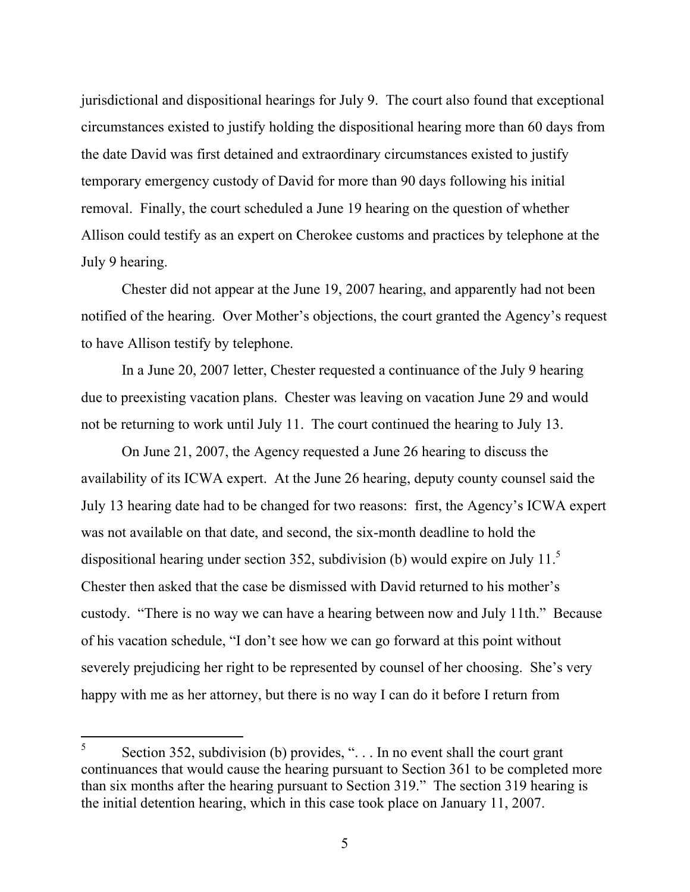jurisdictional and dispositional hearings for July 9. The court also found that exceptional circumstances existed to justify holding the dispositional hearing more than 60 days from the date David was first detained and extraordinary circumstances existed to justify temporary emergency custody of David for more than 90 days following his initial removal. Finally, the court scheduled a June 19 hearing on the question of whether Allison could testify as an expert on Cherokee customs and practices by telephone at the July 9 hearing.

 Chester did not appear at the June 19, 2007 hearing, and apparently had not been notified of the hearing. Over Mother's objections, the court granted the Agency's request to have Allison testify by telephone.

 In a June 20, 2007 letter, Chester requested a continuance of the July 9 hearing due to preexisting vacation plans. Chester was leaving on vacation June 29 and would not be returning to work until July 11. The court continued the hearing to July 13.

 On June 21, 2007, the Agency requested a June 26 hearing to discuss the availability of its ICWA expert. At the June 26 hearing, deputy county counsel said the July 13 hearing date had to be changed for two reasons: first, the Agency's ICWA expert was not available on that date, and second, the six-month deadline to hold the dispositional hearing under section 352, subdivision (b) would expire on July 11. $^5$ Chester then asked that the case be dismissed with David returned to his mother's custody. "There is no way we can have a hearing between now and July 11th." Because of his vacation schedule, "I don't see how we can go forward at this point without severely prejudicing her right to be represented by counsel of her choosing. She's very happy with me as her attorney, but there is no way I can do it before I return from

 $\overline{a}$ 

<sup>5</sup> Section 352, subdivision (b) provides, "... In no event shall the court grant continuances that would cause the hearing pursuant to Section 361 to be completed more than six months after the hearing pursuant to Section 319." The section 319 hearing is the initial detention hearing, which in this case took place on January 11, 2007.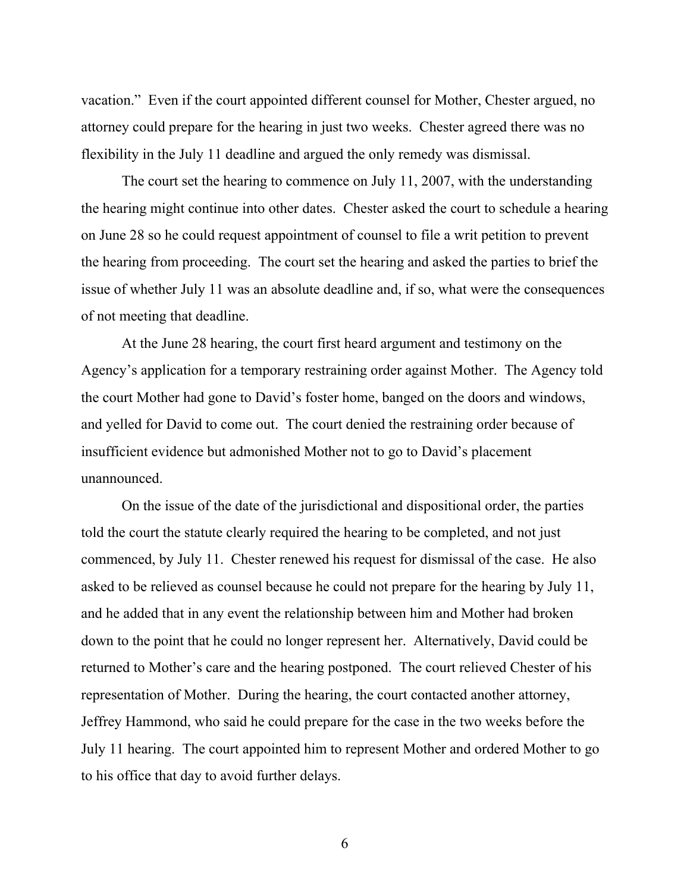vacation." Even if the court appointed different counsel for Mother, Chester argued, no attorney could prepare for the hearing in just two weeks. Chester agreed there was no flexibility in the July 11 deadline and argued the only remedy was dismissal.

 The court set the hearing to commence on July 11, 2007, with the understanding the hearing might continue into other dates. Chester asked the court to schedule a hearing on June 28 so he could request appointment of counsel to file a writ petition to prevent the hearing from proceeding. The court set the hearing and asked the parties to brief the issue of whether July 11 was an absolute deadline and, if so, what were the consequences of not meeting that deadline.

 At the June 28 hearing, the court first heard argument and testimony on the Agency's application for a temporary restraining order against Mother. The Agency told the court Mother had gone to David's foster home, banged on the doors and windows, and yelled for David to come out. The court denied the restraining order because of insufficient evidence but admonished Mother not to go to David's placement unannounced.

 On the issue of the date of the jurisdictional and dispositional order, the parties told the court the statute clearly required the hearing to be completed, and not just commenced, by July 11. Chester renewed his request for dismissal of the case. He also asked to be relieved as counsel because he could not prepare for the hearing by July 11, and he added that in any event the relationship between him and Mother had broken down to the point that he could no longer represent her. Alternatively, David could be returned to Mother's care and the hearing postponed. The court relieved Chester of his representation of Mother. During the hearing, the court contacted another attorney, Jeffrey Hammond, who said he could prepare for the case in the two weeks before the July 11 hearing. The court appointed him to represent Mother and ordered Mother to go to his office that day to avoid further delays.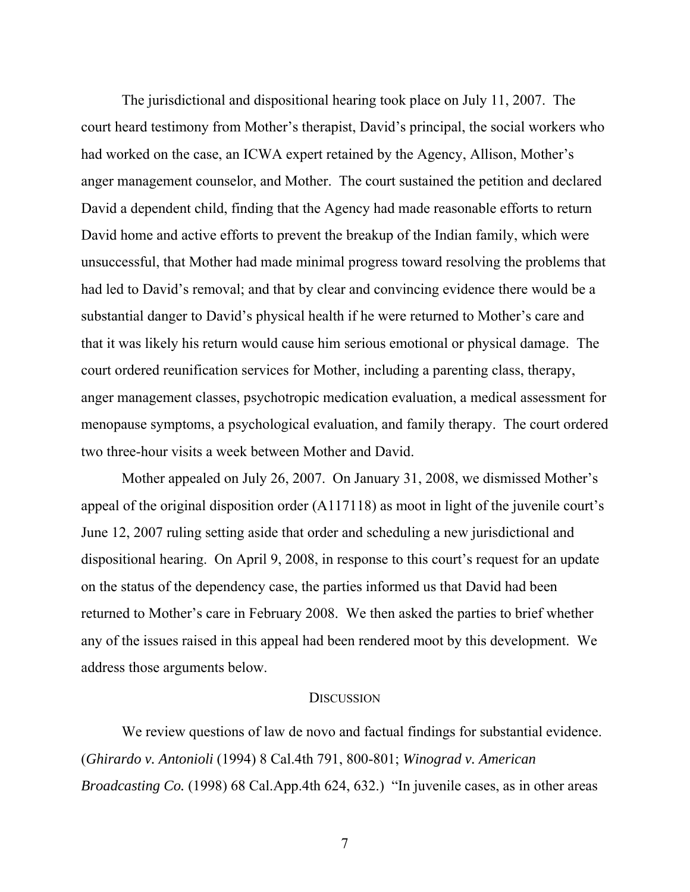The jurisdictional and dispositional hearing took place on July 11, 2007. The court heard testimony from Mother's therapist, David's principal, the social workers who had worked on the case, an ICWA expert retained by the Agency, Allison, Mother's anger management counselor, and Mother. The court sustained the petition and declared David a dependent child, finding that the Agency had made reasonable efforts to return David home and active efforts to prevent the breakup of the Indian family, which were unsuccessful, that Mother had made minimal progress toward resolving the problems that had led to David's removal; and that by clear and convincing evidence there would be a substantial danger to David's physical health if he were returned to Mother's care and that it was likely his return would cause him serious emotional or physical damage. The court ordered reunification services for Mother, including a parenting class, therapy, anger management classes, psychotropic medication evaluation, a medical assessment for menopause symptoms, a psychological evaluation, and family therapy. The court ordered two three-hour visits a week between Mother and David.

 Mother appealed on July 26, 2007. On January 31, 2008, we dismissed Mother's appeal of the original disposition order (A117118) as moot in light of the juvenile court's June 12, 2007 ruling setting aside that order and scheduling a new jurisdictional and dispositional hearing. On April 9, 2008, in response to this court's request for an update on the status of the dependency case, the parties informed us that David had been returned to Mother's care in February 2008. We then asked the parties to brief whether any of the issues raised in this appeal had been rendered moot by this development. We address those arguments below.

#### **DISCUSSION**

 We review questions of law de novo and factual findings for substantial evidence. (*Ghirardo v. Antonioli* (1994) 8 Cal.4th 791, 800-801; *Winograd v. American Broadcasting Co.* (1998) 68 Cal.App.4th 624, 632.) "In juvenile cases, as in other areas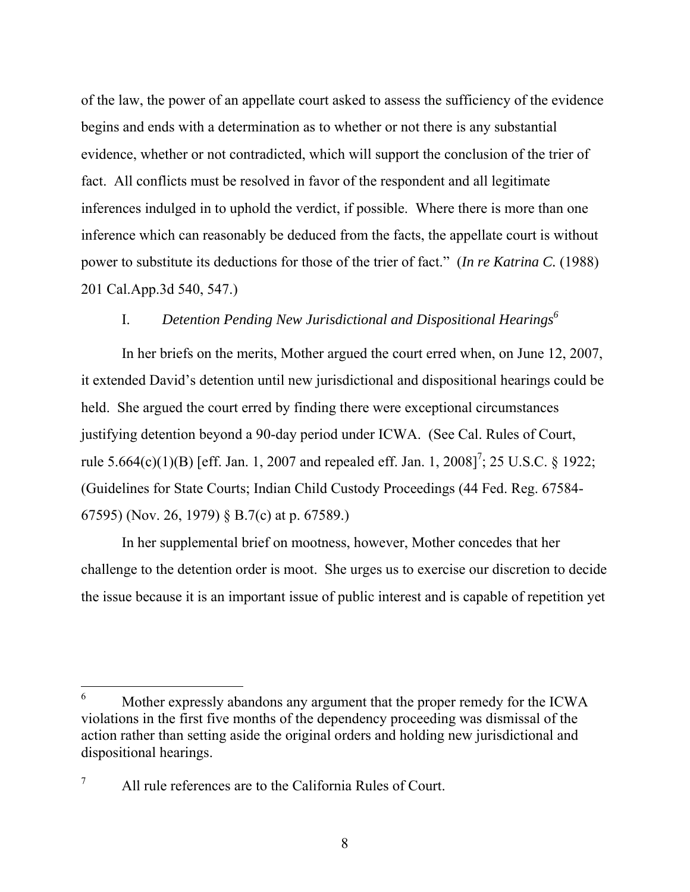of the law, the power of an appellate court asked to assess the sufficiency of the evidence begins and ends with a determination as to whether or not there is any substantial evidence, whether or not contradicted, which will support the conclusion of the trier of fact. All conflicts must be resolved in favor of the respondent and all legitimate inferences indulged in to uphold the verdict, if possible. Where there is more than one inference which can reasonably be deduced from the facts, the appellate court is without power to substitute its deductions for those of the trier of fact." (*In re Katrina C.* (1988) 201 Cal.App.3d 540, 547.)

# I. *Detention Pending New Jurisdictional and Dispositional Hearings<sup>6</sup>*

 In her briefs on the merits, Mother argued the court erred when, on June 12, 2007, it extended David's detention until new jurisdictional and dispositional hearings could be held. She argued the court erred by finding there were exceptional circumstances justifying detention beyond a 90-day period under ICWA. (See Cal. Rules of Court, rule 5.664(c)(1)(B) [eff. Jan. 1, 2007 and repealed eff. Jan. 1, 2008]<sup>7</sup>; 25 U.S.C. § 1922; (Guidelines for State Courts; Indian Child Custody Proceedings (44 Fed. Reg. 67584- 67595) (Nov. 26, 1979) § B.7(c) at p. 67589.)

 In her supplemental brief on mootness, however, Mother concedes that her challenge to the detention order is moot. She urges us to exercise our discretion to decide the issue because it is an important issue of public interest and is capable of repetition yet

 $\overline{a}$ 

<sup>6</sup> Mother expressly abandons any argument that the proper remedy for the ICWA violations in the first five months of the dependency proceeding was dismissal of the action rather than setting aside the original orders and holding new jurisdictional and dispositional hearings.

<sup>7</sup> All rule references are to the California Rules of Court.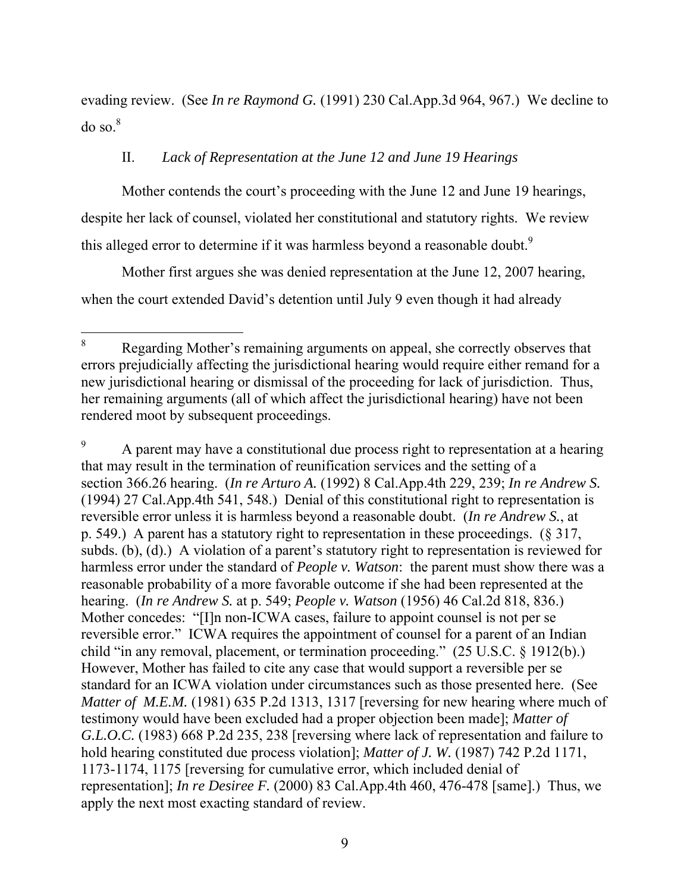evading review. (See *In re Raymond G.* (1991) 230 Cal.App.3d 964, 967.) We decline to  $do$  so. $8$ 

# II. *Lack of Representation at the June 12 and June 19 Hearings*

 Mother contends the court's proceeding with the June 12 and June 19 hearings, despite her lack of counsel, violated her constitutional and statutory rights. We review this alleged error to determine if it was harmless beyond a reasonable doubt.<sup>9</sup>

 Mother first argues she was denied representation at the June 12, 2007 hearing, when the court extended David's detention until July 9 even though it had already

 $\overline{a}$ 8 Regarding Mother's remaining arguments on appeal, she correctly observes that errors prejudicially affecting the jurisdictional hearing would require either remand for a new jurisdictional hearing or dismissal of the proceeding for lack of jurisdiction. Thus, her remaining arguments (all of which affect the jurisdictional hearing) have not been rendered moot by subsequent proceedings.

<sup>9</sup> A parent may have a constitutional due process right to representation at a hearing that may result in the termination of reunification services and the setting of a section 366.26 hearing. (*In re Arturo A.* (1992) 8 Cal.App.4th 229, 239; *In re Andrew S.* (1994) 27 Cal.App.4th 541, 548.) Denial of this constitutional right to representation is reversible error unless it is harmless beyond a reasonable doubt. (*In re Andrew S.*, at p. 549.) A parent has a statutory right to representation in these proceedings. (§ 317, subds. (b), (d).) A violation of a parent's statutory right to representation is reviewed for harmless error under the standard of *People v. Watson*: the parent must show there was a reasonable probability of a more favorable outcome if she had been represented at the hearing. (*In re Andrew S.* at p. 549; *People v. Watson* (1956) 46 Cal.2d 818, 836.) Mother concedes: "[I]n non-ICWA cases, failure to appoint counsel is not per se reversible error." ICWA requires the appointment of counsel for a parent of an Indian child "in any removal, placement, or termination proceeding." (25 U.S.C. § 1912(b).) However, Mother has failed to cite any case that would support a reversible per se standard for an ICWA violation under circumstances such as those presented here. (See *Matter of M.E.M.* (1981) 635 P.2d 1313, 1317 [reversing for new hearing where much of testimony would have been excluded had a proper objection been made]; *Matter of G.L.O.C.* (1983) 668 P.2d 235, 238 [reversing where lack of representation and failure to hold hearing constituted due process violation]; *Matter of J. W.* (1987) 742 P.2d 1171, 1173-1174, 1175 [reversing for cumulative error, which included denial of representation]; *In re Desiree F.* (2000) 83 Cal.App.4th 460, 476-478 [same].) Thus, we apply the next most exacting standard of review.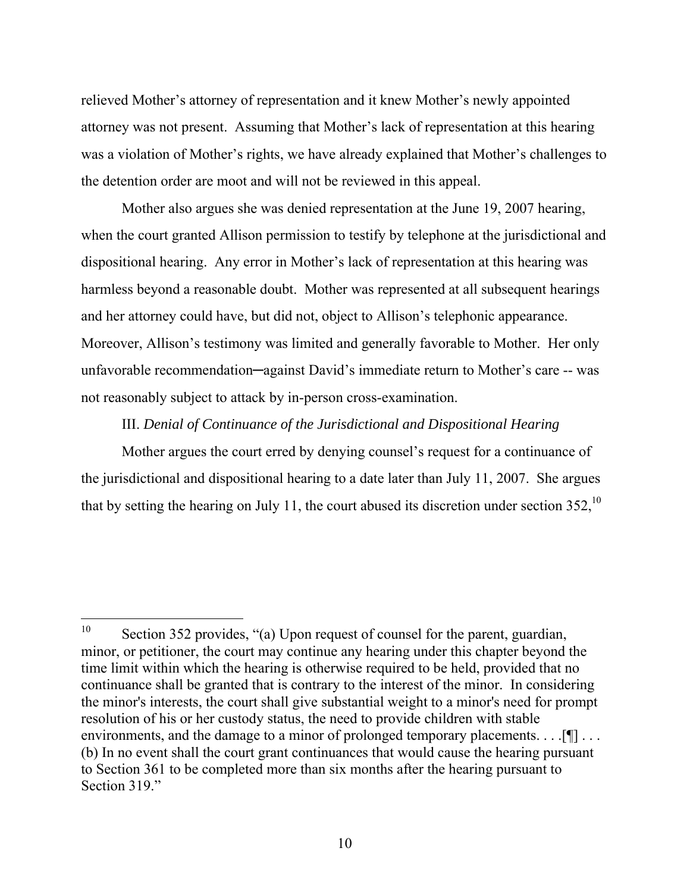relieved Mother's attorney of representation and it knew Mother's newly appointed attorney was not present. Assuming that Mother's lack of representation at this hearing was a violation of Mother's rights, we have already explained that Mother's challenges to the detention order are moot and will not be reviewed in this appeal.

 Mother also argues she was denied representation at the June 19, 2007 hearing, when the court granted Allison permission to testify by telephone at the jurisdictional and dispositional hearing. Any error in Mother's lack of representation at this hearing was harmless beyond a reasonable doubt. Mother was represented at all subsequent hearings and her attorney could have, but did not, object to Allison's telephonic appearance. Moreover, Allison's testimony was limited and generally favorable to Mother. Her only unfavorable recommendation—against David's immediate return to Mother's care -- was not reasonably subject to attack by in-person cross-examination.

### III. *Denial of Continuance of the Jurisdictional and Dispositional Hearing*

 Mother argues the court erred by denying counsel's request for a continuance of the jurisdictional and dispositional hearing to a date later than July 11, 2007. She argues that by setting the hearing on July 11, the court abused its discretion under section  $352$ ,<sup>10</sup>

<sup>10</sup> Section 352 provides, "(a) Upon request of counsel for the parent, guardian, minor, or petitioner, the court may continue any hearing under this chapter beyond the time limit within which the hearing is otherwise required to be held, provided that no continuance shall be granted that is contrary to the interest of the minor. In considering the minor's interests, the court shall give substantial weight to a minor's need for prompt resolution of his or her custody status, the need to provide children with stable environments, and the damage to a minor of prolonged temporary placements. . . . [¶] . . . (b) In no event shall the court grant continuances that would cause the hearing pursuant to Section 361 to be completed more than six months after the hearing pursuant to Section 319."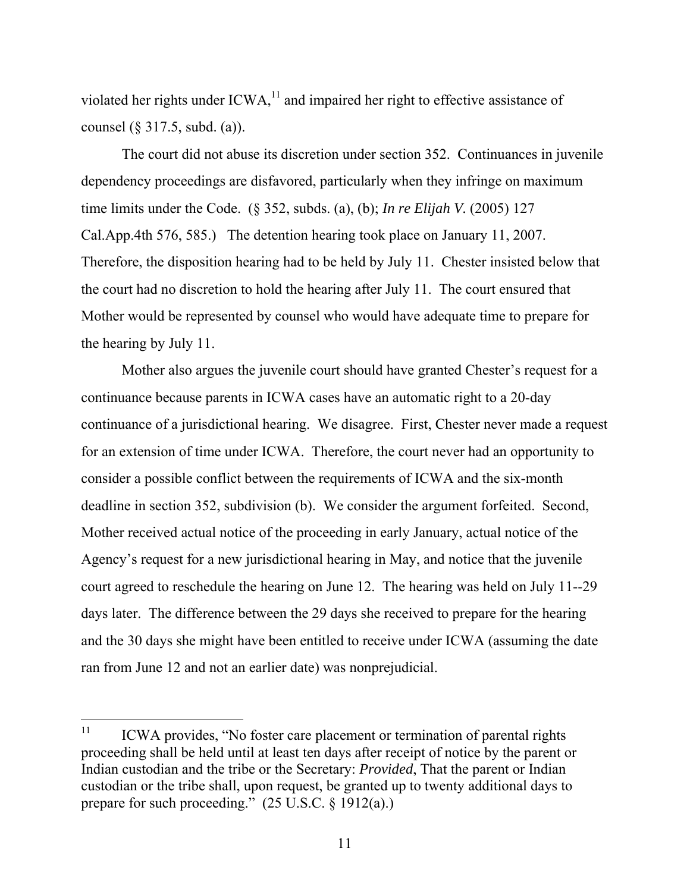violated her rights under  $ICWA<sub>11</sub><sup>11</sup>$  and impaired her right to effective assistance of counsel (§ 317.5, subd. (a)).

 The court did not abuse its discretion under section 352. Continuances in juvenile dependency proceedings are disfavored, particularly when they infringe on maximum time limits under the Code. (§ 352, subds. (a), (b); *In re Elijah V.* (2005) 127 Cal.App.4th 576, 585.) The detention hearing took place on January 11, 2007. Therefore, the disposition hearing had to be held by July 11. Chester insisted below that the court had no discretion to hold the hearing after July 11. The court ensured that Mother would be represented by counsel who would have adequate time to prepare for the hearing by July 11.

 Mother also argues the juvenile court should have granted Chester's request for a continuance because parents in ICWA cases have an automatic right to a 20-day continuance of a jurisdictional hearing. We disagree. First, Chester never made a request for an extension of time under ICWA. Therefore, the court never had an opportunity to consider a possible conflict between the requirements of ICWA and the six-month deadline in section 352, subdivision (b). We consider the argument forfeited. Second, Mother received actual notice of the proceeding in early January, actual notice of the Agency's request for a new jurisdictional hearing in May, and notice that the juvenile court agreed to reschedule the hearing on June 12. The hearing was held on July 11--29 days later. The difference between the 29 days she received to prepare for the hearing and the 30 days she might have been entitled to receive under ICWA (assuming the date ran from June 12 and not an earlier date) was nonprejudicial.

 $11$ ICWA provides, "No foster care placement or termination of parental rights proceeding shall be held until at least ten days after receipt of notice by the parent or Indian custodian and the tribe or the Secretary: *Provided*, That the parent or Indian custodian or the tribe shall, upon request, be granted up to twenty additional days to prepare for such proceeding." (25 U.S.C. § 1912(a).)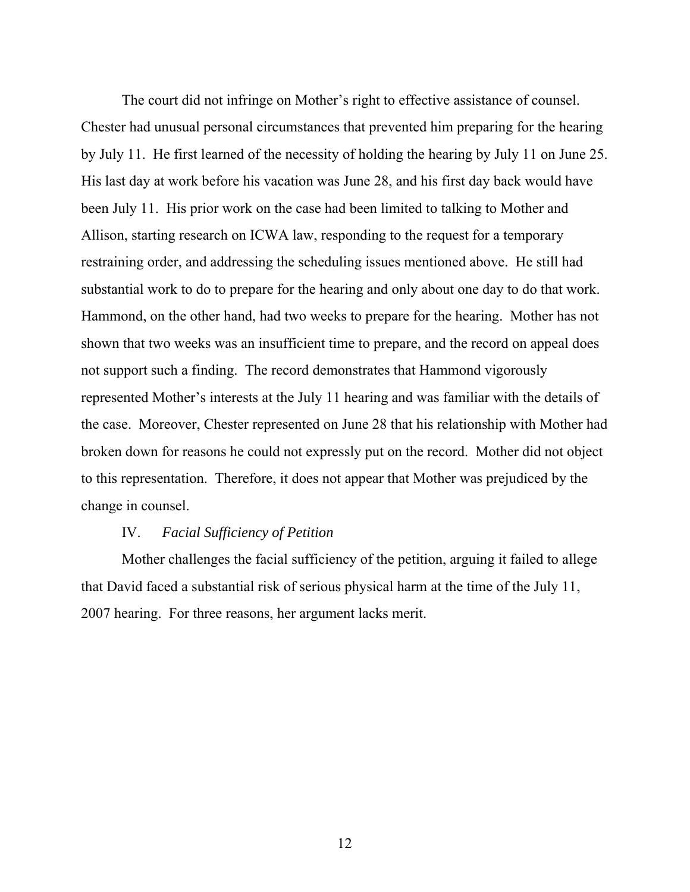The court did not infringe on Mother's right to effective assistance of counsel. Chester had unusual personal circumstances that prevented him preparing for the hearing by July 11. He first learned of the necessity of holding the hearing by July 11 on June 25. His last day at work before his vacation was June 28, and his first day back would have been July 11. His prior work on the case had been limited to talking to Mother and Allison, starting research on ICWA law, responding to the request for a temporary restraining order, and addressing the scheduling issues mentioned above. He still had substantial work to do to prepare for the hearing and only about one day to do that work. Hammond, on the other hand, had two weeks to prepare for the hearing. Mother has not shown that two weeks was an insufficient time to prepare, and the record on appeal does not support such a finding. The record demonstrates that Hammond vigorously represented Mother's interests at the July 11 hearing and was familiar with the details of the case. Moreover, Chester represented on June 28 that his relationship with Mother had broken down for reasons he could not expressly put on the record. Mother did not object to this representation. Therefore, it does not appear that Mother was prejudiced by the change in counsel.

### IV. *Facial Sufficiency of Petition*

 Mother challenges the facial sufficiency of the petition, arguing it failed to allege that David faced a substantial risk of serious physical harm at the time of the July 11, 2007 hearing. For three reasons, her argument lacks merit.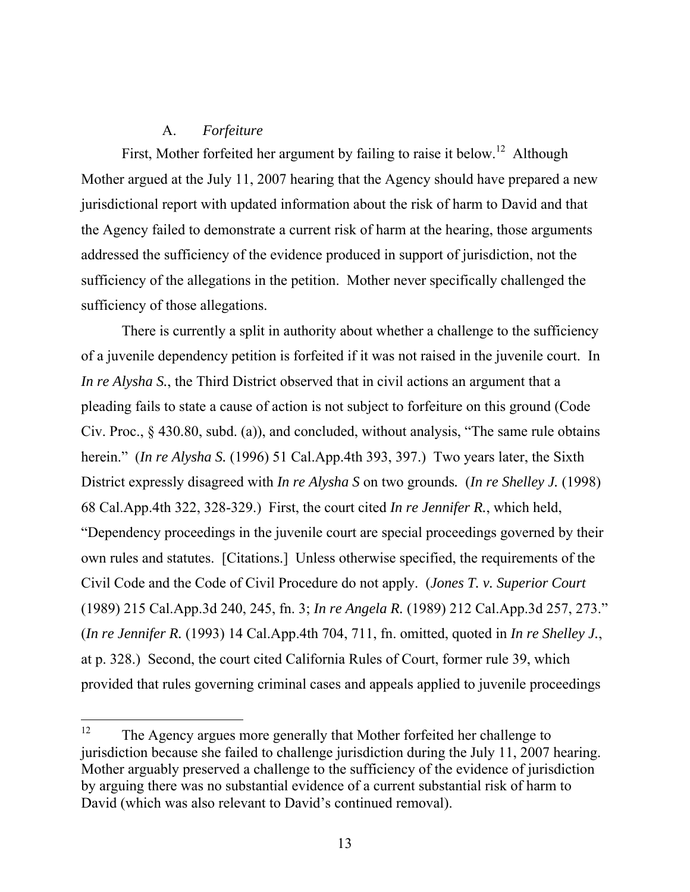## A. *Forfeiture*

First, Mother forfeited her argument by failing to raise it below.<sup>12</sup> Although Mother argued at the July 11, 2007 hearing that the Agency should have prepared a new jurisdictional report with updated information about the risk of harm to David and that the Agency failed to demonstrate a current risk of harm at the hearing, those arguments addressed the sufficiency of the evidence produced in support of jurisdiction, not the sufficiency of the allegations in the petition. Mother never specifically challenged the sufficiency of those allegations.

 There is currently a split in authority about whether a challenge to the sufficiency of a juvenile dependency petition is forfeited if it was not raised in the juvenile court. In *In re Alysha S.*, the Third District observed that in civil actions an argument that a pleading fails to state a cause of action is not subject to forfeiture on this ground (Code Civ. Proc., § 430.80, subd. (a)), and concluded, without analysis, "The same rule obtains herein." (*In re Alysha S.* (1996) 51 Cal.App.4th 393, 397.) Two years later, the Sixth District expressly disagreed with *In re Alysha S* on two grounds*.* (*In re Shelley J.* (1998) 68 Cal.App.4th 322, 328-329.) First, the court cited *In re Jennifer R.*, which held, "Dependency proceedings in the juvenile court are special proceedings governed by their own rules and statutes. [Citations.] Unless otherwise specified, the requirements of the Civil Code and the Code of Civil Procedure do not apply. (*Jones T. v. Superior Court*  (1989) 215 Cal.App.3d 240, 245, fn. 3; *In re Angela R.* (1989) 212 Cal.App.3d 257, 273." (*In re Jennifer R.* (1993) 14 Cal.App.4th 704, 711, fn. omitted, quoted in *In re Shelley J.*, at p. 328.) Second, the court cited California Rules of Court, former rule 39, which provided that rules governing criminal cases and appeals applied to juvenile proceedings

<sup>12</sup> The Agency argues more generally that Mother forfeited her challenge to jurisdiction because she failed to challenge jurisdiction during the July 11, 2007 hearing. Mother arguably preserved a challenge to the sufficiency of the evidence of jurisdiction by arguing there was no substantial evidence of a current substantial risk of harm to David (which was also relevant to David's continued removal).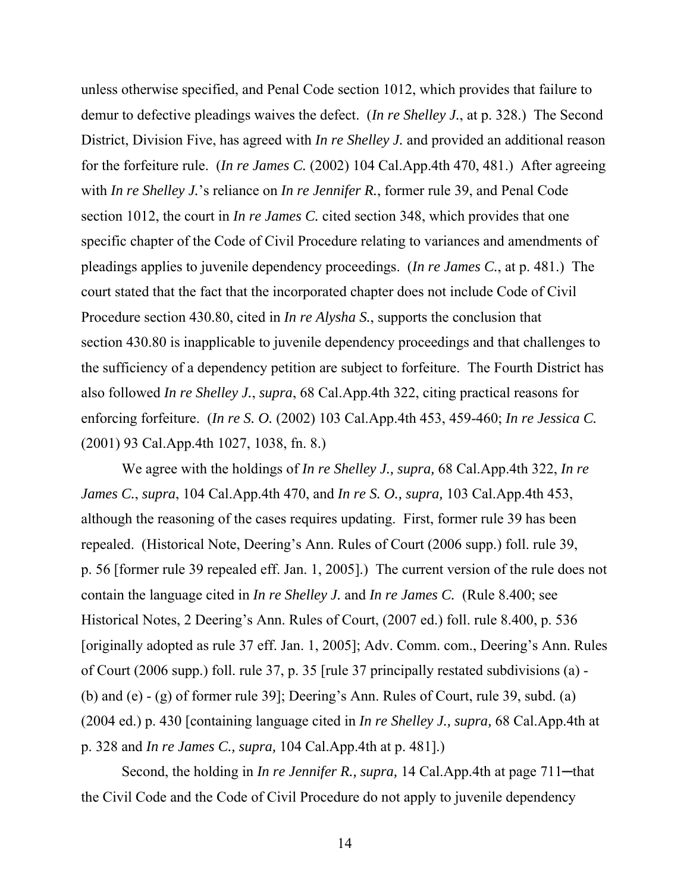unless otherwise specified, and Penal Code section 1012, which provides that failure to demur to defective pleadings waives the defect. (*In re Shelley J.*, at p. 328.) The Second District, Division Five, has agreed with *In re Shelley J.* and provided an additional reason for the forfeiture rule. (*In re James C.* (2002) 104 Cal.App.4th 470, 481.) After agreeing with *In re Shelley J.*'s reliance on *In re Jennifer R.*, former rule 39, and Penal Code section 1012, the court in *In re James C.* cited section 348, which provides that one specific chapter of the Code of Civil Procedure relating to variances and amendments of pleadings applies to juvenile dependency proceedings. (*In re James C.*, at p. 481.) The court stated that the fact that the incorporated chapter does not include Code of Civil Procedure section 430.80, cited in *In re Alysha S.*, supports the conclusion that section 430.80 is inapplicable to juvenile dependency proceedings and that challenges to the sufficiency of a dependency petition are subject to forfeiture. The Fourth District has also followed *In re Shelley J.*, *supra*, 68 Cal.App.4th 322, citing practical reasons for enforcing forfeiture. (*In re S. O.* (2002) 103 Cal.App.4th 453, 459-460; *In re Jessica C.* (2001) 93 Cal.App.4th 1027, 1038, fn. 8.)

 We agree with the holdings of *In re Shelley J., supra,* 68 Cal.App.4th 322, *In re James C.*, *supra*, 104 Cal.App.4th 470, and *In re S. O., supra,* 103 Cal.App.4th 453, although the reasoning of the cases requires updating. First, former rule 39 has been repealed. (Historical Note, Deering's Ann. Rules of Court (2006 supp.) foll. rule 39, p. 56 [former rule 39 repealed eff. Jan. 1, 2005].) The current version of the rule does not contain the language cited in *In re Shelley J.* and *In re James C.* (Rule 8.400; see Historical Notes, 2 Deering's Ann. Rules of Court, (2007 ed.) foll. rule 8.400, p. 536 [originally adopted as rule 37 eff. Jan. 1, 2005]; Adv. Comm. com., Deering's Ann. Rules of Court (2006 supp.) foll. rule 37, p. 35 [rule 37 principally restated subdivisions (a) - (b) and (e) - (g) of former rule 39]; Deering's Ann. Rules of Court, rule 39, subd. (a) (2004 ed.) p. 430 [containing language cited in *In re Shelley J., supra,* 68 Cal.App.4th at p. 328 and *In re James C., supra,* 104 Cal.App.4th at p. 481].)

Second, the holding in *In re Jennifer R., supra,* 14 Cal.App.4th at page 711—that the Civil Code and the Code of Civil Procedure do not apply to juvenile dependency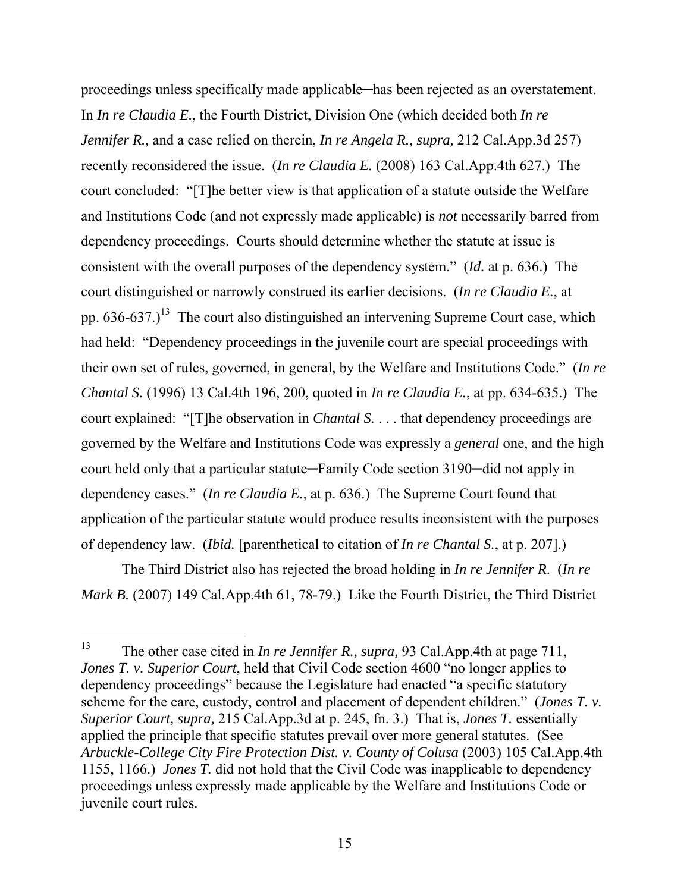proceedings unless specifically made applicable—has been rejected as an overstatement. In *In re Claudia E.*, the Fourth District, Division One (which decided both *In re Jennifer R.,* and a case relied on therein, *In re Angela R., supra,* 212 Cal.App.3d 257) recently reconsidered the issue. (*In re Claudia E.* (2008) 163 Cal.App.4th 627.) The court concluded: "[T]he better view is that application of a statute outside the Welfare and Institutions Code (and not expressly made applicable) is *not* necessarily barred from dependency proceedings. Courts should determine whether the statute at issue is consistent with the overall purposes of the dependency system." (*Id.* at p. 636.) The court distinguished or narrowly construed its earlier decisions. (*In re Claudia E.*, at pp.  $636-637$ .)<sup>13</sup> The court also distinguished an intervening Supreme Court case, which had held: "Dependency proceedings in the juvenile court are special proceedings with their own set of rules, governed, in general, by the Welfare and Institutions Code." (*In re Chantal S.* (1996) 13 Cal.4th 196, 200, quoted in *In re Claudia E.*, at pp. 634-635.) The court explained: "[T]he observation in *Chantal S.* . . . that dependency proceedings are governed by the Welfare and Institutions Code was expressly a *general* one, and the high court held only that a particular statute─Family Code section 3190─did not apply in dependency cases." (*In re Claudia E.*, at p. 636.) The Supreme Court found that application of the particular statute would produce results inconsistent with the purposes of dependency law. (*Ibid.* [parenthetical to citation of *In re Chantal S.*, at p. 207].)

 The Third District also has rejected the broad holding in *In re Jennifer R*. (*In re Mark B.* (2007) 149 Cal.App.4th 61, 78-79.) Like the Fourth District, the Third District

<sup>13</sup> 13 The other case cited in *In re Jennifer R., supra,* 93 Cal.App.4th at page 711, *Jones T. v. Superior Court*, held that Civil Code section 4600 "no longer applies to dependency proceedings" because the Legislature had enacted "a specific statutory scheme for the care, custody, control and placement of dependent children." (*Jones T. v. Superior Court, supra,* 215 Cal.App.3d at p. 245, fn. 3.) That is, *Jones T.* essentially applied the principle that specific statutes prevail over more general statutes. (See *Arbuckle-College City Fire Protection Dist. v. County of Colusa* (2003) 105 Cal.App.4th 1155, 1166.) *Jones T.* did not hold that the Civil Code was inapplicable to dependency proceedings unless expressly made applicable by the Welfare and Institutions Code or juvenile court rules.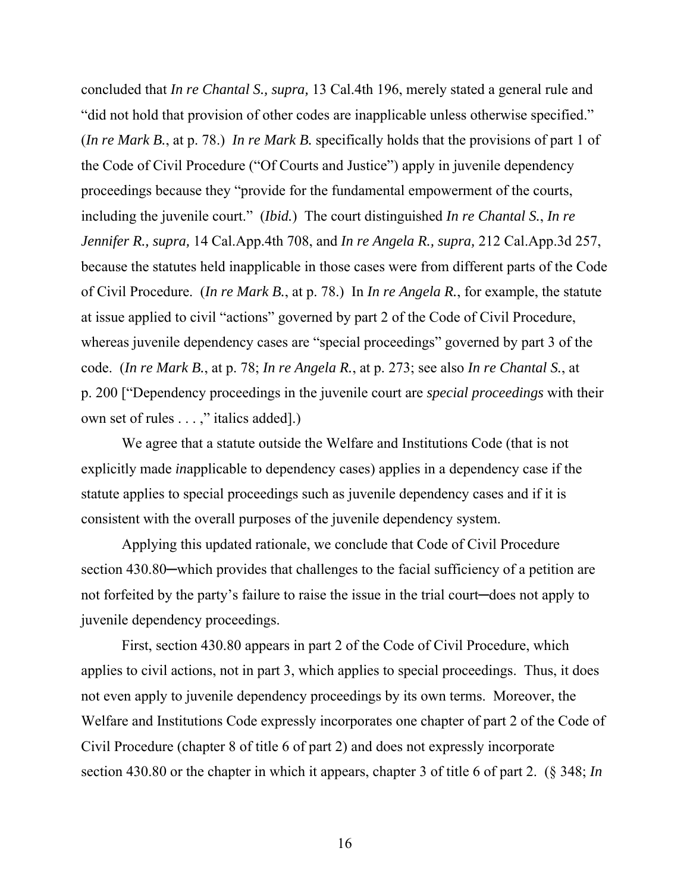concluded that *In re Chantal S., supra,* 13 Cal.4th 196, merely stated a general rule and "did not hold that provision of other codes are inapplicable unless otherwise specified." (*In re Mark B.*, at p. 78.) *In re Mark B.* specifically holds that the provisions of part 1 of the Code of Civil Procedure ("Of Courts and Justice") apply in juvenile dependency proceedings because they "provide for the fundamental empowerment of the courts, including the juvenile court." (*Ibid.*) The court distinguished *In re Chantal S.*, *In re Jennifer R., supra,* 14 Cal.App.4th 708, and *In re Angela R., supra,* 212 Cal.App.3d 257, because the statutes held inapplicable in those cases were from different parts of the Code of Civil Procedure. (*In re Mark B.*, at p. 78.) In *In re Angela R.*, for example, the statute at issue applied to civil "actions" governed by part 2 of the Code of Civil Procedure, whereas juvenile dependency cases are "special proceedings" governed by part 3 of the code. (*In re Mark B.*, at p. 78; *In re Angela R.*, at p. 273; see also *In re Chantal S.*, at p. 200 ["Dependency proceedings in the juvenile court are *special proceedings* with their own set of rules . . . ," italics added].)

 We agree that a statute outside the Welfare and Institutions Code (that is not explicitly made *in*applicable to dependency cases) applies in a dependency case if the statute applies to special proceedings such as juvenile dependency cases and if it is consistent with the overall purposes of the juvenile dependency system.

 Applying this updated rationale, we conclude that Code of Civil Procedure section 430.80—which provides that challenges to the facial sufficiency of a petition are not forfeited by the party's failure to raise the issue in the trial court—does not apply to juvenile dependency proceedings.

 First, section 430.80 appears in part 2 of the Code of Civil Procedure, which applies to civil actions, not in part 3, which applies to special proceedings. Thus, it does not even apply to juvenile dependency proceedings by its own terms. Moreover, the Welfare and Institutions Code expressly incorporates one chapter of part 2 of the Code of Civil Procedure (chapter 8 of title 6 of part 2) and does not expressly incorporate section 430.80 or the chapter in which it appears, chapter 3 of title 6 of part 2. (§ 348; *In*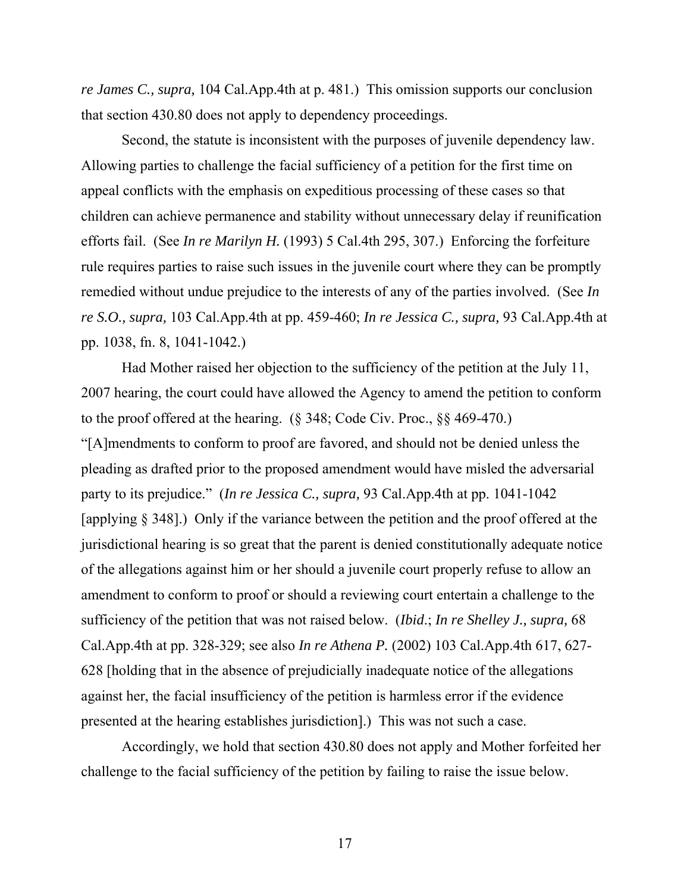*re James C., supra,* 104 Cal.App.4th at p. 481.) This omission supports our conclusion that section 430.80 does not apply to dependency proceedings.

 Second, the statute is inconsistent with the purposes of juvenile dependency law. Allowing parties to challenge the facial sufficiency of a petition for the first time on appeal conflicts with the emphasis on expeditious processing of these cases so that children can achieve permanence and stability without unnecessary delay if reunification efforts fail. (See *In re Marilyn H.* (1993) 5 Cal.4th 295, 307.) Enforcing the forfeiture rule requires parties to raise such issues in the juvenile court where they can be promptly remedied without undue prejudice to the interests of any of the parties involved. (See *In re S.O., supra,* 103 Cal.App.4th at pp. 459-460; *In re Jessica C., supra,* 93 Cal.App.4th at pp. 1038, fn. 8, 1041-1042.)

 Had Mother raised her objection to the sufficiency of the petition at the July 11, 2007 hearing, the court could have allowed the Agency to amend the petition to conform to the proof offered at the hearing. (§ 348; Code Civ. Proc., §§ 469-470.) "[A]mendments to conform to proof are favored, and should not be denied unless the pleading as drafted prior to the proposed amendment would have misled the adversarial party to its prejudice." (*In re Jessica C., supra,* 93 Cal.App.4th at pp. 1041-1042 [applying § 348].) Only if the variance between the petition and the proof offered at the jurisdictional hearing is so great that the parent is denied constitutionally adequate notice of the allegations against him or her should a juvenile court properly refuse to allow an amendment to conform to proof or should a reviewing court entertain a challenge to the sufficiency of the petition that was not raised below. (*Ibid*.; *In re Shelley J., supra,* 68 Cal.App.4th at pp. 328-329; see also *In re Athena P.* (2002) 103 Cal.App.4th 617, 627- 628 [holding that in the absence of prejudicially inadequate notice of the allegations against her, the facial insufficiency of the petition is harmless error if the evidence presented at the hearing establishes jurisdiction].) This was not such a case.

 Accordingly, we hold that section 430.80 does not apply and Mother forfeited her challenge to the facial sufficiency of the petition by failing to raise the issue below.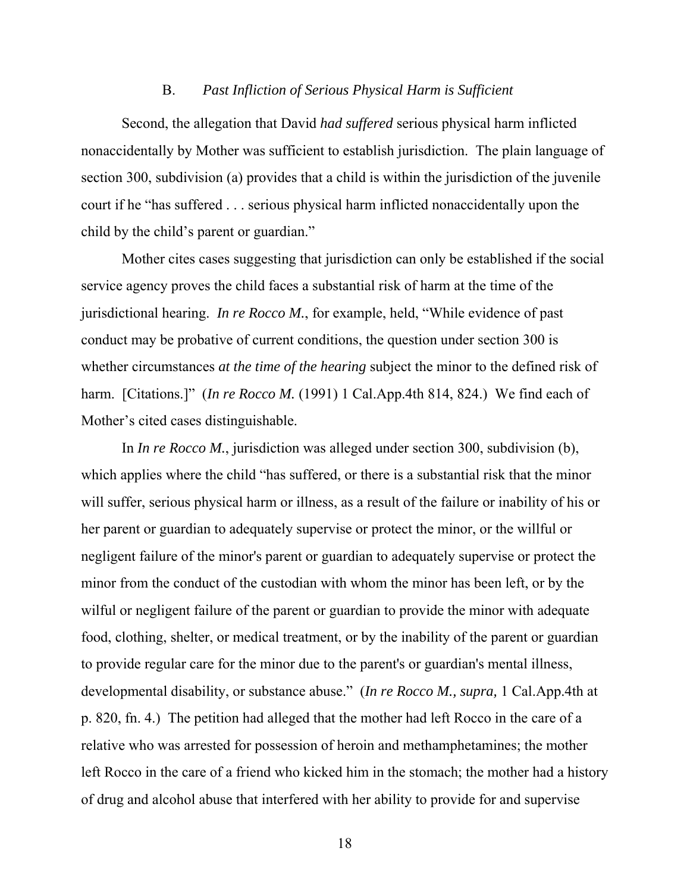#### B. *Past Infliction of Serious Physical Harm is Sufficient*

 Second, the allegation that David *had suffered* serious physical harm inflicted nonaccidentally by Mother was sufficient to establish jurisdiction. The plain language of section 300, subdivision (a) provides that a child is within the jurisdiction of the juvenile court if he "has suffered . . . serious physical harm inflicted nonaccidentally upon the child by the child's parent or guardian."

 Mother cites cases suggesting that jurisdiction can only be established if the social service agency proves the child faces a substantial risk of harm at the time of the jurisdictional hearing. *In re Rocco M.*, for example, held, "While evidence of past conduct may be probative of current conditions, the question under section 300 is whether circumstances *at the time of the hearing* subject the minor to the defined risk of harm. [Citations.]" (*In re Rocco M.* (1991) 1 Cal.App.4th 814, 824.) We find each of Mother's cited cases distinguishable.

 In *In re Rocco M.*, jurisdiction was alleged under section 300, subdivision (b), which applies where the child "has suffered, or there is a substantial risk that the minor will suffer, serious physical harm or illness, as a result of the failure or inability of his or her parent or guardian to adequately supervise or protect the minor, or the willful or negligent failure of the minor's parent or guardian to adequately supervise or protect the minor from the conduct of the custodian with whom the minor has been left, or by the wilful or negligent failure of the parent or guardian to provide the minor with adequate food, clothing, shelter, or medical treatment, or by the inability of the parent or guardian to provide regular care for the minor due to the parent's or guardian's mental illness, developmental disability, or substance abuse." (*In re Rocco M., supra,* 1 Cal.App.4th at p. 820, fn. 4.) The petition had alleged that the mother had left Rocco in the care of a relative who was arrested for possession of heroin and methamphetamines; the mother left Rocco in the care of a friend who kicked him in the stomach; the mother had a history of drug and alcohol abuse that interfered with her ability to provide for and supervise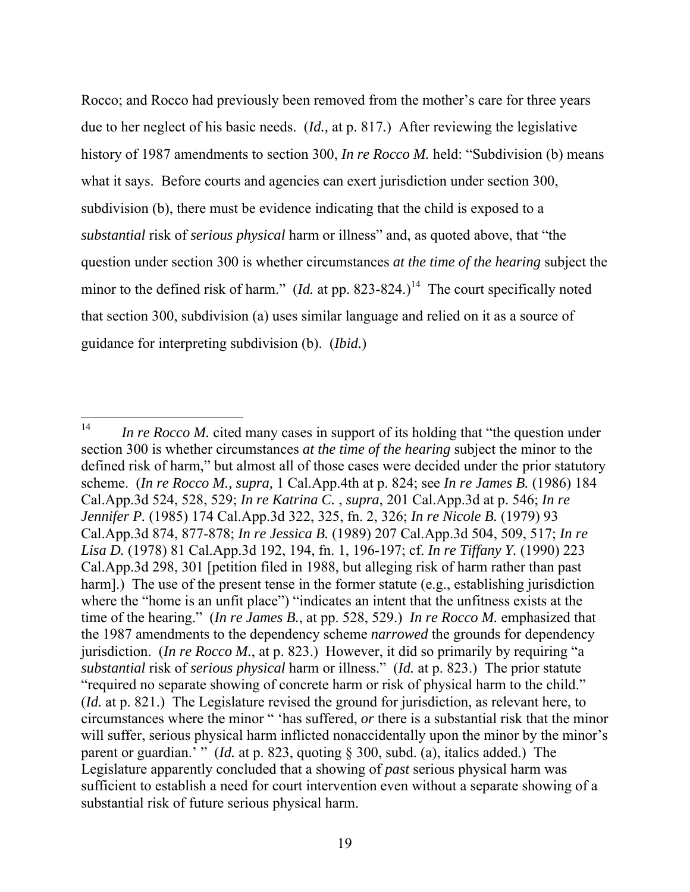Rocco; and Rocco had previously been removed from the mother's care for three years due to her neglect of his basic needs. (*Id.,* at p. 817*.*) After reviewing the legislative history of 1987 amendments to section 300, *In re Rocco M*. held: "Subdivision (b) means what it says. Before courts and agencies can exert jurisdiction under section 300, subdivision (b), there must be evidence indicating that the child is exposed to a *substantial* risk of *serious physical* harm or illness" and, as quoted above, that "the question under section 300 is whether circumstances *at the time of the hearing* subject the minor to the defined risk of harm." (*Id.* at pp. 823-824.)<sup>14</sup> The court specifically noted that section 300, subdivision (a) uses similar language and relied on it as a source of guidance for interpreting subdivision (b). (*Ibid.*)

 $14$ *In re Rocco M.* cited many cases in support of its holding that "the question under section 300 is whether circumstances *at the time of the hearing* subject the minor to the defined risk of harm," but almost all of those cases were decided under the prior statutory scheme. (*In re Rocco M., supra,* 1 Cal.App.4th at p. 824; see *In re James B.* (1986) 184 Cal.App.3d 524, 528, 529; *In re Katrina C.* , *supra*, 201 Cal.App.3d at p. 546; *In re Jennifer P.* (1985) 174 Cal.App.3d 322, 325, fn. 2, 326; *In re Nicole B.* (1979) 93 Cal.App.3d 874, 877-878; *In re Jessica B.* (1989) 207 Cal.App.3d 504, 509, 517; *In re Lisa D.* (1978) 81 Cal.App.3d 192, 194, fn. 1, 196-197; cf. *In re Tiffany Y.* (1990) 223 Cal.App.3d 298, 301 [petition filed in 1988, but alleging risk of harm rather than past harm].) The use of the present tense in the former statute (e.g., establishing jurisdiction where the "home is an unfit place") "indicates an intent that the unfitness exists at the time of the hearing." (*In re James B.*, at pp. 528, 529.) *In re Rocco M.* emphasized that the 1987 amendments to the dependency scheme *narrowed* the grounds for dependency jurisdiction. (*In re Rocco M.*, at p. 823.) However, it did so primarily by requiring "a *substantial* risk of *serious physical* harm or illness." (*Id.* at p. 823.) The prior statute "required no separate showing of concrete harm or risk of physical harm to the child." (*Id.* at p. 821.) The Legislature revised the ground for jurisdiction, as relevant here, to circumstances where the minor " 'has suffered, *or* there is a substantial risk that the minor will suffer, serious physical harm inflicted nonaccidentally upon the minor by the minor's parent or guardian.' " (*Id.* at p. 823, quoting § 300, subd. (a), italics added.) The Legislature apparently concluded that a showing of *past* serious physical harm was sufficient to establish a need for court intervention even without a separate showing of a substantial risk of future serious physical harm.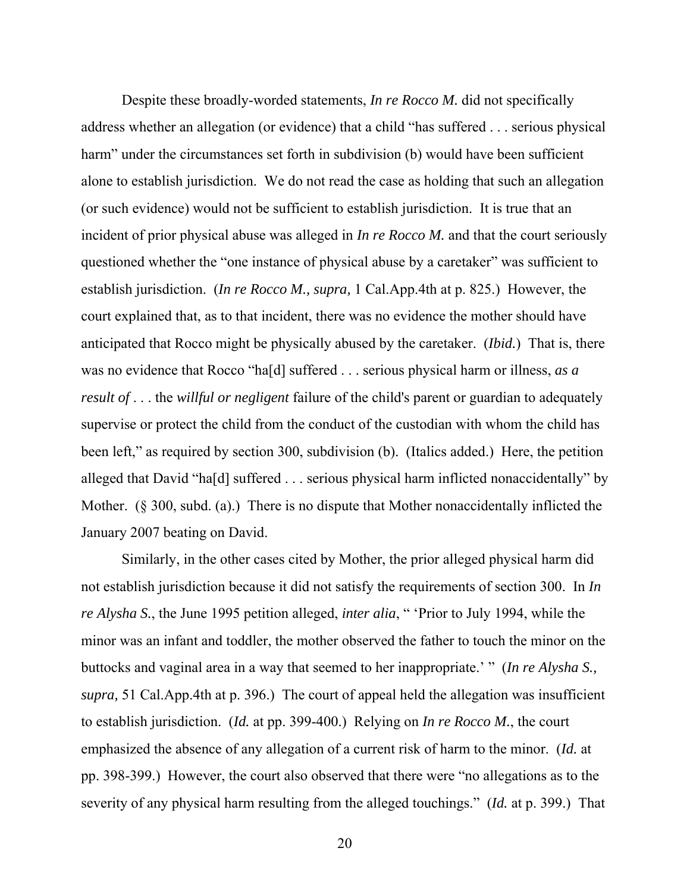Despite these broadly-worded statements, *In re Rocco M.* did not specifically address whether an allegation (or evidence) that a child "has suffered . . . serious physical harm" under the circumstances set forth in subdivision (b) would have been sufficient alone to establish jurisdiction. We do not read the case as holding that such an allegation (or such evidence) would not be sufficient to establish jurisdiction. It is true that an incident of prior physical abuse was alleged in *In re Rocco M*, and that the court seriously questioned whether the "one instance of physical abuse by a caretaker" was sufficient to establish jurisdiction. (*In re Rocco M., supra,* 1 Cal.App.4th at p. 825.) However, the court explained that, as to that incident, there was no evidence the mother should have anticipated that Rocco might be physically abused by the caretaker. (*Ibid.*) That is, there was no evidence that Rocco "ha[d] suffered . . . serious physical harm or illness, *as a result of* . . . the *willful or negligent* failure of the child's parent or guardian to adequately supervise or protect the child from the conduct of the custodian with whom the child has been left," as required by section 300, subdivision (b). (Italics added.) Here, the petition alleged that David "ha[d] suffered . . . serious physical harm inflicted nonaccidentally" by Mother. (§ 300, subd. (a).) There is no dispute that Mother nonaccidentally inflicted the January 2007 beating on David.

 Similarly, in the other cases cited by Mother, the prior alleged physical harm did not establish jurisdiction because it did not satisfy the requirements of section 300. In *In re Alysha S.*, the June 1995 petition alleged, *inter alia*, " 'Prior to July 1994, while the minor was an infant and toddler, the mother observed the father to touch the minor on the buttocks and vaginal area in a way that seemed to her inappropriate.' " (*In re Alysha S., supra,* 51 Cal.App.4th at p. 396.) The court of appeal held the allegation was insufficient to establish jurisdiction. (*Id.* at pp. 399-400.) Relying on *In re Rocco M.*, the court emphasized the absence of any allegation of a current risk of harm to the minor. (*Id.* at pp. 398-399.) However, the court also observed that there were "no allegations as to the severity of any physical harm resulting from the alleged touchings." (*Id.* at p. 399.) That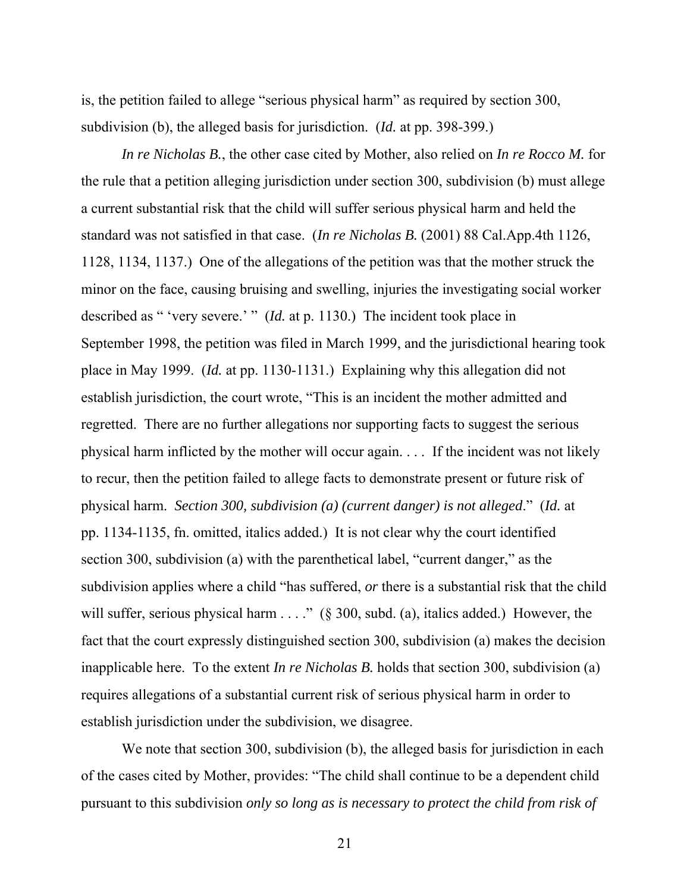is, the petition failed to allege "serious physical harm" as required by section 300, subdivision (b), the alleged basis for jurisdiction. (*Id.* at pp. 398-399.)

*In re Nicholas B.*, the other case cited by Mother, also relied on *In re Rocco M.* for the rule that a petition alleging jurisdiction under section 300, subdivision (b) must allege a current substantial risk that the child will suffer serious physical harm and held the standard was not satisfied in that case. (*In re Nicholas B.* (2001) 88 Cal.App.4th 1126, 1128, 1134, 1137.) One of the allegations of the petition was that the mother struck the minor on the face, causing bruising and swelling, injuries the investigating social worker described as " 'very severe.' " (*Id.* at p. 1130.) The incident took place in September 1998, the petition was filed in March 1999, and the jurisdictional hearing took place in May 1999. (*Id.* at pp. 1130-1131.) Explaining why this allegation did not establish jurisdiction, the court wrote, "This is an incident the mother admitted and regretted. There are no further allegations nor supporting facts to suggest the serious physical harm inflicted by the mother will occur again. . . . If the incident was not likely to recur, then the petition failed to allege facts to demonstrate present or future risk of physical harm. *Section 300, subdivision (a) (current danger) is not alleged*." (*Id.* at pp. 1134-1135, fn. omitted, italics added.) It is not clear why the court identified section 300, subdivision (a) with the parenthetical label, "current danger," as the subdivision applies where a child "has suffered, *or* there is a substantial risk that the child will suffer, serious physical harm  $\ldots$ ." (§ 300, subd. (a), italics added.) However, the fact that the court expressly distinguished section 300, subdivision (a) makes the decision inapplicable here. To the extent *In re Nicholas B.* holds that section 300, subdivision (a) requires allegations of a substantial current risk of serious physical harm in order to establish jurisdiction under the subdivision, we disagree.

We note that section 300, subdivision (b), the alleged basis for jurisdiction in each of the cases cited by Mother, provides: "The child shall continue to be a dependent child pursuant to this subdivision *only so long as is necessary to protect the child from risk of*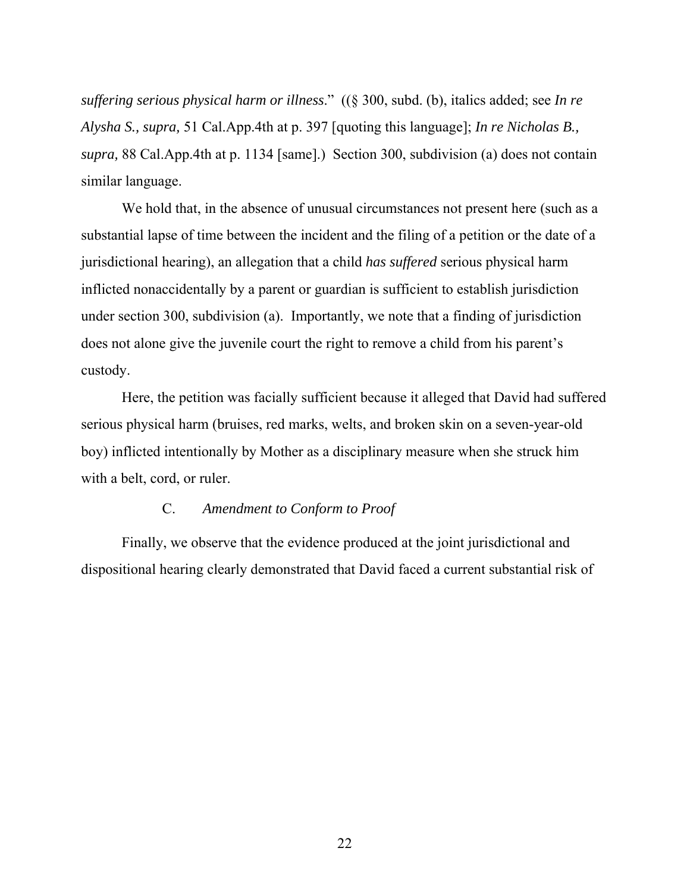*suffering serious physical harm or illness*." ((§ 300, subd. (b), italics added; see *In re Alysha S., supra,* 51 Cal.App.4th at p. 397 [quoting this language]; *In re Nicholas B., supra,* 88 Cal.App.4th at p. 1134 [same].) Section 300, subdivision (a) does not contain similar language.

 We hold that, in the absence of unusual circumstances not present here (such as a substantial lapse of time between the incident and the filing of a petition or the date of a jurisdictional hearing), an allegation that a child *has suffered* serious physical harm inflicted nonaccidentally by a parent or guardian is sufficient to establish jurisdiction under section 300, subdivision (a). Importantly, we note that a finding of jurisdiction does not alone give the juvenile court the right to remove a child from his parent's custody.

 Here, the petition was facially sufficient because it alleged that David had suffered serious physical harm (bruises, red marks, welts, and broken skin on a seven-year-old boy) inflicted intentionally by Mother as a disciplinary measure when she struck him with a belt, cord, or ruler.

# C. *Amendment to Conform to Proof*

 Finally, we observe that the evidence produced at the joint jurisdictional and dispositional hearing clearly demonstrated that David faced a current substantial risk of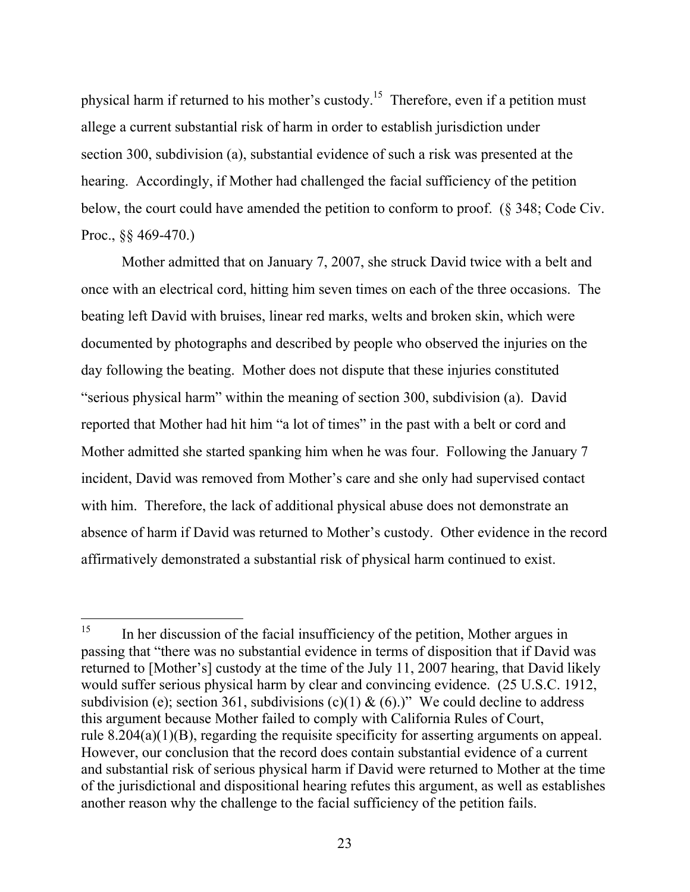physical harm if returned to his mother's custody.15 Therefore, even if a petition must allege a current substantial risk of harm in order to establish jurisdiction under section 300, subdivision (a), substantial evidence of such a risk was presented at the hearing. Accordingly, if Mother had challenged the facial sufficiency of the petition below, the court could have amended the petition to conform to proof. (§ 348; Code Civ. Proc., §§ 469-470.)

 Mother admitted that on January 7, 2007, she struck David twice with a belt and once with an electrical cord, hitting him seven times on each of the three occasions. The beating left David with bruises, linear red marks, welts and broken skin, which were documented by photographs and described by people who observed the injuries on the day following the beating. Mother does not dispute that these injuries constituted "serious physical harm" within the meaning of section 300, subdivision (a). David reported that Mother had hit him "a lot of times" in the past with a belt or cord and Mother admitted she started spanking him when he was four. Following the January 7 incident, David was removed from Mother's care and she only had supervised contact with him. Therefore, the lack of additional physical abuse does not demonstrate an absence of harm if David was returned to Mother's custody. Other evidence in the record affirmatively demonstrated a substantial risk of physical harm continued to exist.

<sup>15</sup> In her discussion of the facial insufficiency of the petition, Mother argues in passing that "there was no substantial evidence in terms of disposition that if David was returned to [Mother's] custody at the time of the July 11, 2007 hearing, that David likely would suffer serious physical harm by clear and convincing evidence. (25 U.S.C. 1912, subdivision (e); section 361, subdivisions (c)(1) & (6).)" We could decline to address this argument because Mother failed to comply with California Rules of Court, rule 8.204(a)(1)(B), regarding the requisite specificity for asserting arguments on appeal. However, our conclusion that the record does contain substantial evidence of a current and substantial risk of serious physical harm if David were returned to Mother at the time of the jurisdictional and dispositional hearing refutes this argument, as well as establishes another reason why the challenge to the facial sufficiency of the petition fails.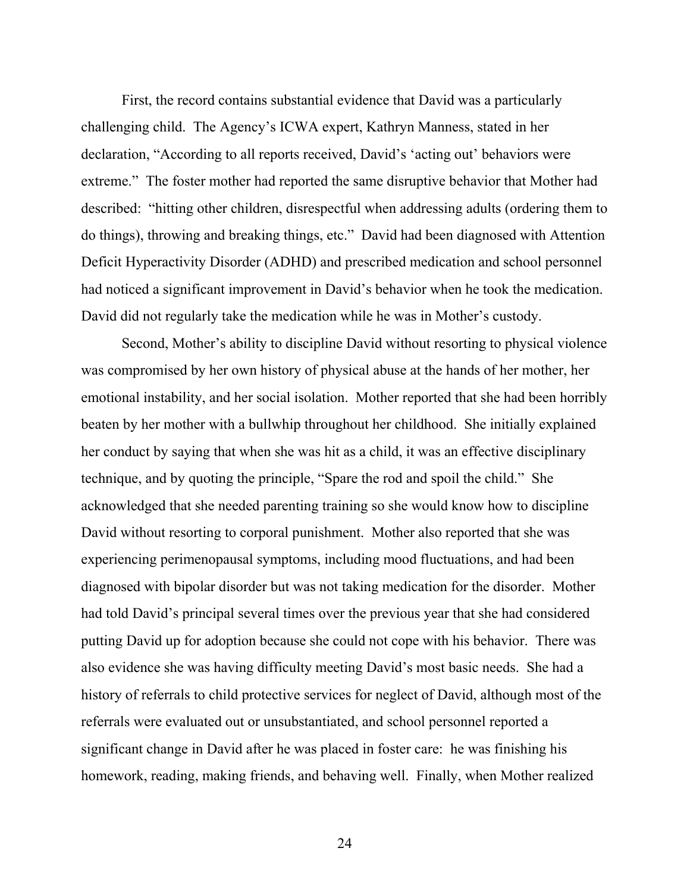First, the record contains substantial evidence that David was a particularly challenging child. The Agency's ICWA expert, Kathryn Manness, stated in her declaration, "According to all reports received, David's 'acting out' behaviors were extreme." The foster mother had reported the same disruptive behavior that Mother had described: "hitting other children, disrespectful when addressing adults (ordering them to do things), throwing and breaking things, etc." David had been diagnosed with Attention Deficit Hyperactivity Disorder (ADHD) and prescribed medication and school personnel had noticed a significant improvement in David's behavior when he took the medication. David did not regularly take the medication while he was in Mother's custody.

 Second, Mother's ability to discipline David without resorting to physical violence was compromised by her own history of physical abuse at the hands of her mother, her emotional instability, and her social isolation. Mother reported that she had been horribly beaten by her mother with a bullwhip throughout her childhood. She initially explained her conduct by saying that when she was hit as a child, it was an effective disciplinary technique, and by quoting the principle, "Spare the rod and spoil the child." She acknowledged that she needed parenting training so she would know how to discipline David without resorting to corporal punishment. Mother also reported that she was experiencing perimenopausal symptoms, including mood fluctuations, and had been diagnosed with bipolar disorder but was not taking medication for the disorder. Mother had told David's principal several times over the previous year that she had considered putting David up for adoption because she could not cope with his behavior. There was also evidence she was having difficulty meeting David's most basic needs. She had a history of referrals to child protective services for neglect of David, although most of the referrals were evaluated out or unsubstantiated, and school personnel reported a significant change in David after he was placed in foster care: he was finishing his homework, reading, making friends, and behaving well. Finally, when Mother realized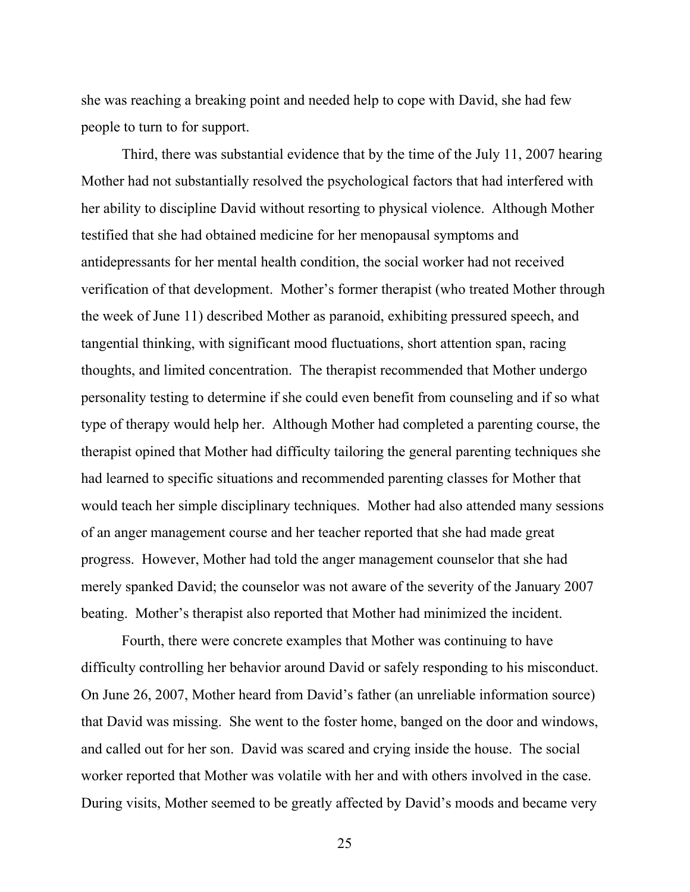she was reaching a breaking point and needed help to cope with David, she had few people to turn to for support.

 Third, there was substantial evidence that by the time of the July 11, 2007 hearing Mother had not substantially resolved the psychological factors that had interfered with her ability to discipline David without resorting to physical violence. Although Mother testified that she had obtained medicine for her menopausal symptoms and antidepressants for her mental health condition, the social worker had not received verification of that development. Mother's former therapist (who treated Mother through the week of June 11) described Mother as paranoid, exhibiting pressured speech, and tangential thinking, with significant mood fluctuations, short attention span, racing thoughts, and limited concentration. The therapist recommended that Mother undergo personality testing to determine if she could even benefit from counseling and if so what type of therapy would help her. Although Mother had completed a parenting course, the therapist opined that Mother had difficulty tailoring the general parenting techniques she had learned to specific situations and recommended parenting classes for Mother that would teach her simple disciplinary techniques. Mother had also attended many sessions of an anger management course and her teacher reported that she had made great progress. However, Mother had told the anger management counselor that she had merely spanked David; the counselor was not aware of the severity of the January 2007 beating. Mother's therapist also reported that Mother had minimized the incident.

 Fourth, there were concrete examples that Mother was continuing to have difficulty controlling her behavior around David or safely responding to his misconduct. On June 26, 2007, Mother heard from David's father (an unreliable information source) that David was missing. She went to the foster home, banged on the door and windows, and called out for her son. David was scared and crying inside the house. The social worker reported that Mother was volatile with her and with others involved in the case. During visits, Mother seemed to be greatly affected by David's moods and became very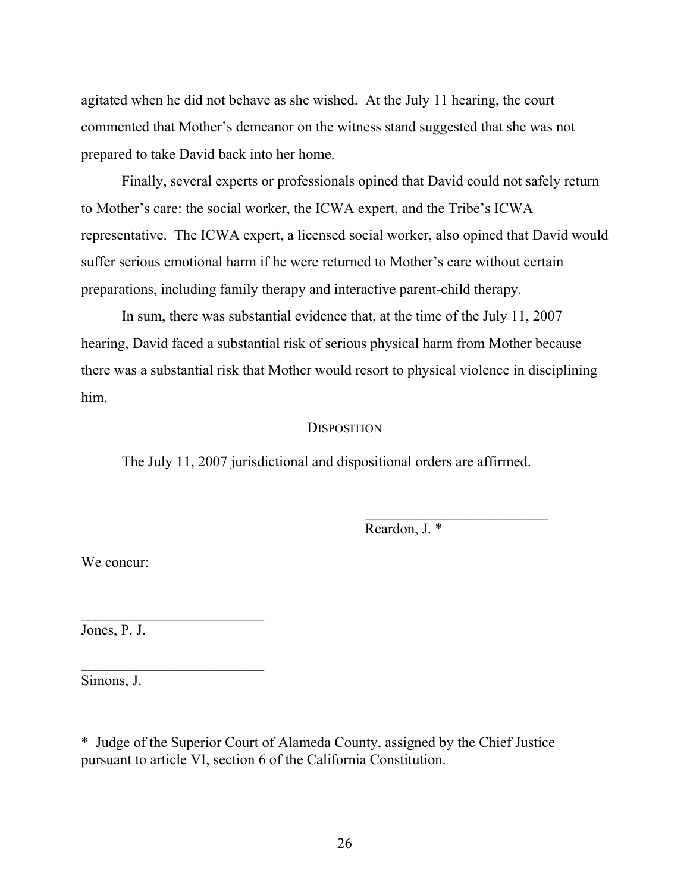agitated when he did not behave as she wished. At the July 11 hearing, the court commented that Mother's demeanor on the witness stand suggested that she was not prepared to take David back into her home.

 Finally, several experts or professionals opined that David could not safely return to Mother's care: the social worker, the ICWA expert, and the Tribe's ICWA representative. The ICWA expert, a licensed social worker, also opined that David would suffer serious emotional harm if he were returned to Mother's care without certain preparations, including family therapy and interactive parent-child therapy.

 In sum, there was substantial evidence that, at the time of the July 11, 2007 hearing, David faced a substantial risk of serious physical harm from Mother because there was a substantial risk that Mother would resort to physical violence in disciplining him.

## **DISPOSITION**

The July 11, 2007 jurisdictional and dispositional orders are affirmed.

Reardon, J. \*

We concur:

Jones, P. J.

 $\mathcal{L}_\text{max}$  and  $\mathcal{L}_\text{max}$  and  $\mathcal{L}_\text{max}$ 

 $\mathcal{L}_\text{max}$  , where  $\mathcal{L}_\text{max}$ 

Simons, J.

\* Judge of the Superior Court of Alameda County, assigned by the Chief Justice pursuant to article VI, section 6 of the California Constitution.